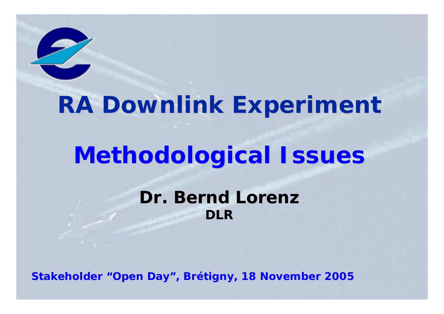

# **RA Downlink Experiment RA Downlink Experiment**

# **Methodological Issues Methodological Issues**

**Dr. Bernd Lorenz Dr. Bernd LorenzDLR**

**Stakeholder "Open Day", Brétigny, 18 November 2005**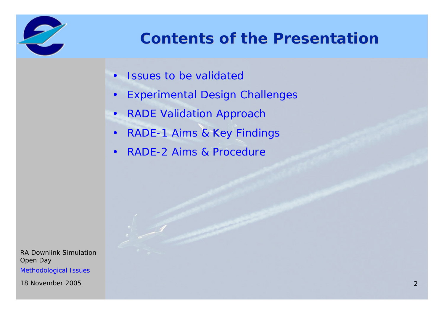

### **Contents of the Presentation Contents of the Presentation**

- Issues to be validated
- $\bullet$ Experimental Design Challenges
- RADE Validation Approach
- $\bullet$ RADE-1 Aims & Key Findings
- $\bullet$ RADE-2 Aims & Procedure

RA Downlink SimulationOpen Day Methodological Issues

18 November 20052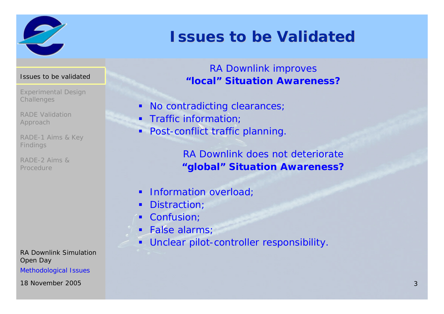

### **Issues to be Validated Issues to be Validated**

### RA Downlink improves **"local" Situation Awareness?**

- $\blacksquare$ No contradicting clearances;
- ٠ Traffic information;
- **•** Post-conflict traffic planning.

RA Downlink does not deteriorate **"global" Situation Awareness?**

- ٠ Information overload;
- ٠ Distraction;
- ٠ Confusion;
- $\blacksquare$ False alarms;
- $\blacksquare$ Unclear pilot-controller responsibility.

#### Issues to be validated

- Experimental Design **Challenges**
- RADE Validation Approach
- RADE-1 Aims & Key Findings
- RADE-2 Aims & Procedure

RA Downlink SimulationOpen Day Methodological Issues

18 November 20053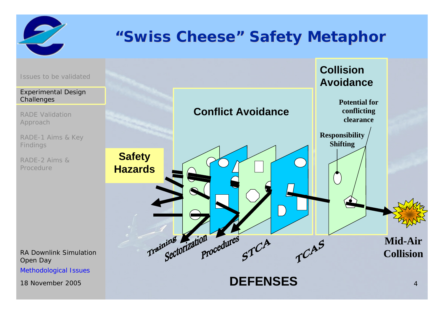

### **"Swiss Cheese Swiss Cheese" Safety Metaphor Safety Metaphor**



Methodological Issues

18 November 20055<sub>2</sub>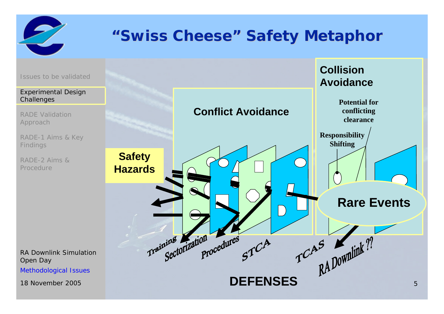

### **"Swiss Cheese Swiss Cheese" Safety Metaphor Safety Metaphor**

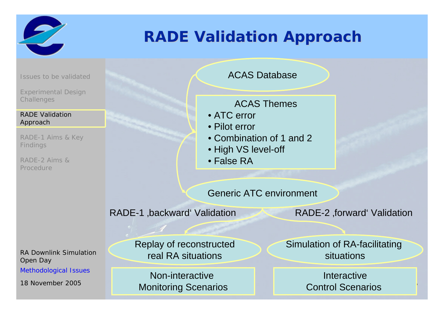

### **RADE Validation Approach RADE Validation Approach**

Issues to be validated

Experimental Design **Challenges** 

#### RADE Validation Approach

RADE-1 Aims & Key Findings

RADE-2 Aims & Procedure

RA Downlink SimulationOpen Day

Methodological Issues

18 November 2005

ACAS Database

ACAS Themes

- ATC error
- Pilot error
- Combination of 1 and 2
- High VS level-off
- False RA

Generic ATC environment

RADE-1 ,backward' Validation RADE-2 ,forward' Validation

Replay of reconstructed real RA situations

<sup>5</sup> **6 1 Monitoring Scenarios 1 1 1 Control Scenarios 1** Non-interactive Monitoring Scenarios

Simulation of RA-facilitating situations

**Interactive**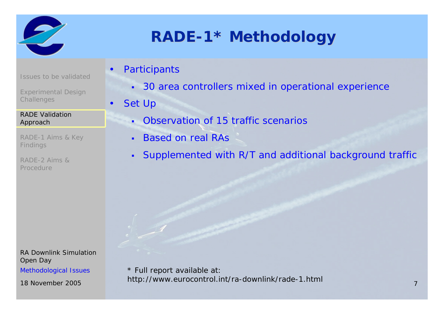

Issues to be validated

Experimental Design

**Challenges** 

Approach

Findings

Procedure

RADE Validation

RADE-2 Aims &

RADE-1 Aims & Key

# **RADE-1\* Methodology**

- •**Participants** 
	- 30 area controllers mixed in operational experience
	- Set Up

•

- Observation of 15 traffic scenarios
- $\blacksquare$ Based on real RAs
- Supplemented with R/T and additional background traffic

RA Downlink SimulationOpen Day Methodological Issues

18 November 2005

5 http://www.eurocontrol.int/ra-downlink/rade-1.html <sub>7</sub> \* Full report available at: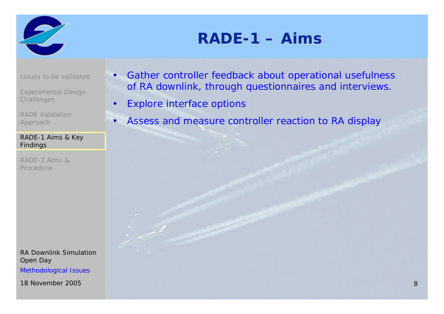

### **RADE-1 – Aims**

Issues to be validated

Experimental Design **Challenges** 

RADE Validation Approach

#### RADE-1 Aims & Key Findings

RADE-2 Aims & Procedure

RA Downlink SimulationOpen Day Methodological Issues

18 November 20058

- • Gather controller feedback about operational usefulness of RA downlink, through questionnaires and interviews.
- •Explore interface options
- •Assess and measure controller reaction to RA display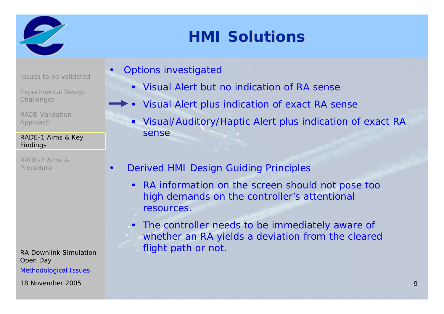

### **HMI Solutions HMI Solutions**

Issues to be validated

•

•

- Experimental Design **Challenges**
- RADE Validation Approach

#### RADE-1 Aims & Key Findings

RADE-2 Aims & Procedure

RA Downlink SimulationOpen Day Methodological Issues

18 November 2005 $\mathsf{S}$  , and the contract of the contract of the contract of the contract of the contract of the contract of the contract of the contract of the contract of the contract of the contract of the contract of the contract o

- Options investigated
	- Visual Alert but no indication of RA sense
	- Visual Alert plus indication of exact RA sense
		- Visual/Auditory/Haptic Alert plus indication of exact RA sense
- Derived HMI Design Guiding Principles
	- $\blacksquare$  RA information on the screen should not pose too high demands on the controller's attentional resources.
	- **The controller needs to be immediately aware of** whether an RA yields a deviation from the cleared flight path or not.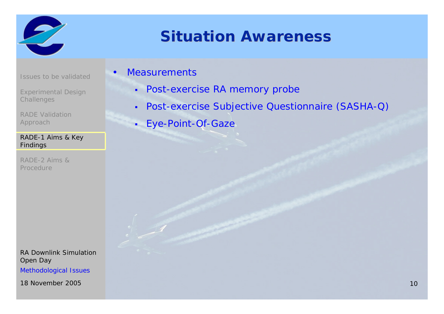

### **Situation Awareness**

Issues to be validated

Experimental Design **Challenges** 

RADE Validation Approach

#### RADE-1 Aims & Key Findings

RADE-2 Aims & Procedure

RA Downlink SimulationOpen Day Methodological Issues

18 November 2005

### Measurements

•

- $\blacksquare$ Post-exercise RA memory probe
- $\blacksquare$ Post-exercise Subjective Questionnaire (SASHA-Q)
- $\mathbf{r}$ Eye-Point-Of-Gaze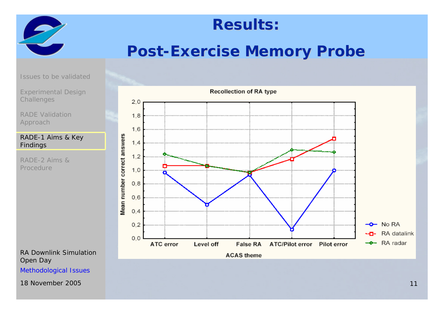

### **Results: Results:**

### **Post-Exercise Memory Probe**

Issues to be validated

Experimental Design **Challenges** 

RADE Validation Approach

#### RADE-1 Aims & Key Findings

RADE-2 Aims & Procedure

RA Downlink SimulationOpen Day

Methodological Issues

18 November 2005

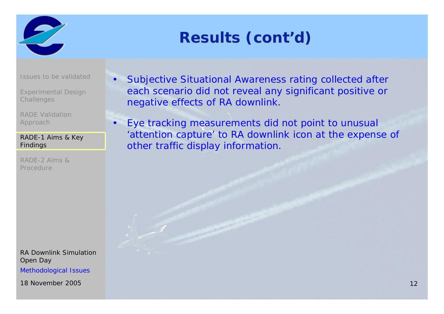

# **Results (cont Results (cont'd)**

Issues to be validated

•

 $\bullet$ 

Experimental Design **Challenges** 

RADE Validation Approach

RADE-1 Aims & Key Findings

RADE-2 Aims & Procedure

RA Downlink SimulationOpen Day Methodological Issues

18 November 2005

- Subjective Situational Awareness rating collected after each scenario did not reveal any significant positive or negative effects of RA downlink.
- Eye tracking measurements did not point to unusual 'attention capture' to RA downlink icon at the expense of other traffic display information.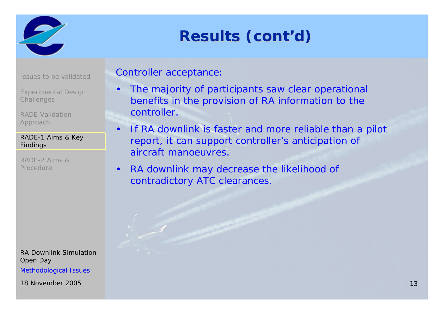

# **Results (cont Results (cont'd)**

|  |  |  | <b>Issues to be validated</b> |
|--|--|--|-------------------------------|
|--|--|--|-------------------------------|

Experimental Design **Challenges** 

RADE Validation Approach

#### RADE-1 Aims & Key Findings

RADE-2 Aims & Procedure

RA Downlink SimulationOpen Day Methodological Issues

18 November 2005

### Controller acceptance:

- $\bullet$  The majority of participants saw clear operational benefits in the provision of RA information to the controller.
- $\bullet$  If RA downlink is faster and more reliable than a pilot report, it can support controller's anticipation of aircraft manoeuvres.
- $\bullet$  RA downlink may decrease the likelihood of contradictory ATC clearances.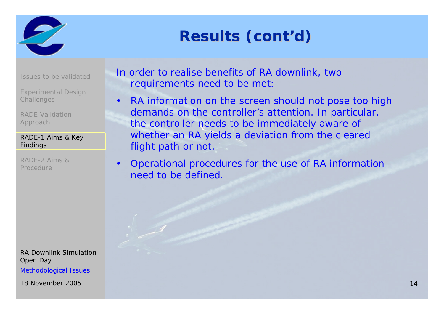

# **Results (cont Results (cont'd)**

Issues to be validated

Experimental Design **Challenges** 

RADE Validation Approach

#### RADE-1 Aims & Key Findings

RADE-2 Aims & Procedure

RA Downlink SimulationOpen Day Methodological Issues

18 November 2005

In order to realise benefits of RA downlink, two requirements need to be met:

- $\bullet$  RA information on the screen should not pose too high demands on the controller's attention. In particular, the controller needs to be immediately aware of whether an RA yields a deviation from the cleared flight path or not.
- $\bullet$  Operational procedures for the use of RA information need to be defined.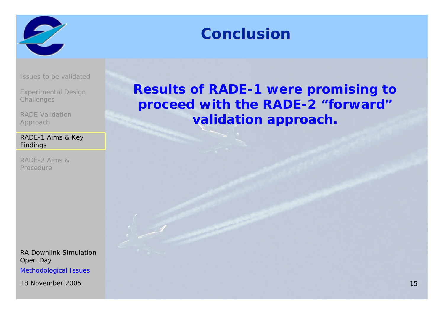

### **Conclusion Conclusion**

Issues to be validated

Experimental Design **Challenges** 

RADE Validation Approach

#### RADE-1 Aims & Key Findings

RADE-2 Aims & Procedure

RA Downlink SimulationOpen Day Methodological Issues

18 November 2005

### **Results of RADE-1 were promising to proceed with the RADE-2 "forward" validation approach.**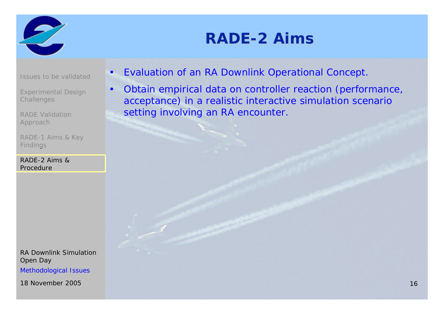

### **RADE-2 Aims**

Issues to be validated

 $\bullet$ 

•

Experimental Design **Challenges** 

RADE Validation Approach

RADE-1 Aims & Key Findings

RADE-2 Aims & Procedure

RA Downlink SimulationOpen Day Methodological Issues

18 November 2005

- Evaluation of an RA Downlink Operational Concept.
- Obtain empirical data on controller reaction (performance, acceptance) in a realistic interactive simulation scenario setting involving an RA encounter.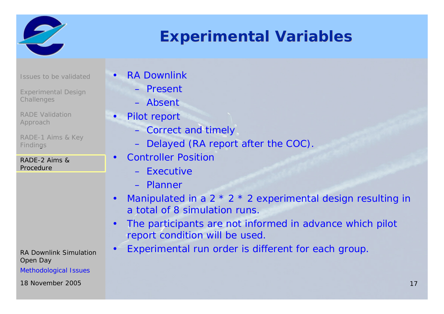

### **Experimental Variables Experimental Variables**

Issues to be validated

- Experimental Design **Challenges**
- RADE Validation Approach
- RADE-1 Aims & Key Findings

RADE-2 Aims & Procedure

RA Downlink SimulationOpen Day

Methodological Issues

#### 18 November 2005

RA Downlink

•

- Present
- Absent
- • Pilot report
	- Correct and timely
	- Delayed (RA report after the COC).
- $\bullet$  Controller Position
	- Executive
	- Planner
- •Manipulated in a 2  $*$  2  $*$  2 experimental design resulting in a total of 8 simulation runs.
- • The participants are not informed in advance which pilot report condition will be used.
- $\bullet$ Experimental run order is different for each group.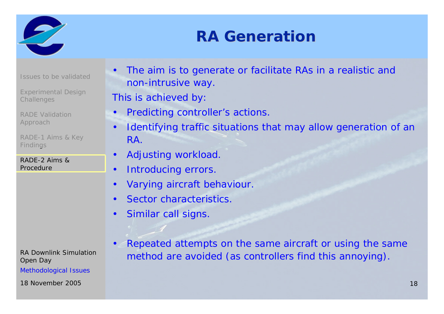

### **RA Generation RA Generation**

Issues to be validated

Experimental Design **Challenges** 

RADE Validation Approach

RADE-1 Aims & Key Findings

RADE-2 Aims & Procedure

RA Downlink SimulationOpen Day

Methodological Issues

• The aim is to generate or facilitate RAs in a realistic and non-intrusive way.

This is achieved by:

- $\bullet$ Predicting controller's actions.
- $\bullet$  Identifying traffic situations that may allow generation of an RA.
- Adjusting workload.

•

- $\bullet$ Introducing errors.
- •Varying aircraft behaviour.
- •Sector characteristics.
- $\bullet$ Similar call signs.
- • Repeated attempts on the same aircraft or using the same method are avoided (as controllers find this annoying).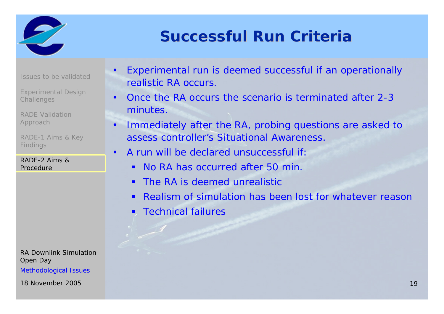

### **Successful Run Criteria Successful Run Criteria**

Issues to be validated

Experimental Design **Challenges** 

RADE Validation Approach

RADE-1 Aims & Key Findings

•

RADE-2 Aims & Procedure

RA Downlink SimulationOpen Day

Methodological Issues

18 November 2005

- • Experimental run is deemed successful if an operationally realistic RA occurs.
- $\bullet$  Once the RA occurs the scenario is terminated after 2-3 minutes.
- $\bullet$  Immediately after the RA, probing questions are asked to assess controller's Situational Awareness.
	- A run will be declared unsuccessful if:
		- No RA has occurred after 50 min.
		- **The RA is deemed unrealistic**
		- Realism of simulation has been lost for whatever reason
		- П Technical failures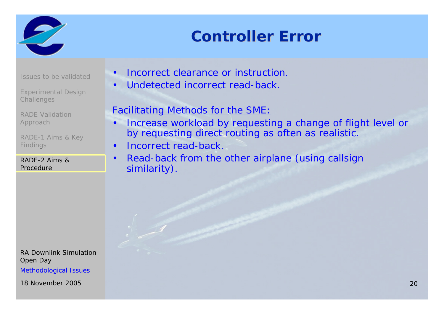

### **Controller Error Controller Error**

Issues to be validated

•

Experimental Design **Challenges** 

RADE Validation Approach

RADE-1 Aims & Key Findings

RADE-2 Aims & Procedure

RA Downlink SimulationOpen Day Methodological Issues

18 November 2005

- Incorrect clearance or instruction.
- •Undetected incorrect read-back.

### Facilitating Methods for the SME:

- • Increase workload by requesting a change of flight level or by requesting direct routing as often as realistic.
- •Incorrect read-back.
- • Read-back from the other airplane (using callsign similarity).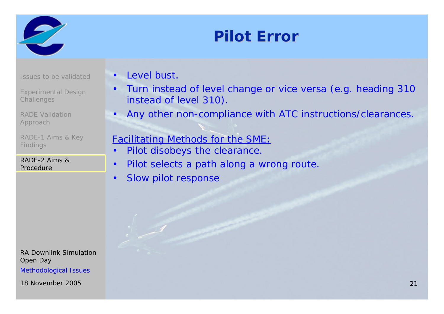

### **Pilot Error Pilot Error**

Issues to be validated

Experimental Design **Challenges** 

RADE Validation Approach

RADE-1 Aims & Key Findings

RADE-2 Aims & Procedure

RA Downlink SimulationOpen Day Methodological Issues

18 November 2005

•Level bust.

•

•

- • Turn instead of level change or vice versa (e.g. heading 310 instead of level 310).
- Any other non-compliance with ATC instructions/clearances.

### Facilitating Methods for the SME:

- • Pilot disobeys the clearance.
	- Pilot selects a path along a wrong route.
- •Slow pilot response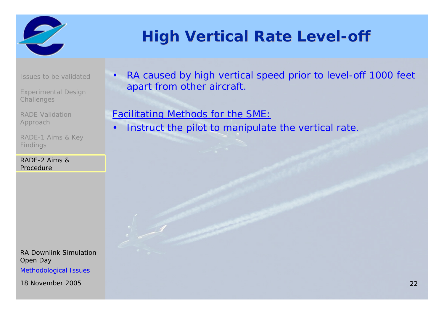

# **High Vertical Rate Level-off**

Issues to be validated

Experimental Design **Challenges** 

RADE Validation Approach

RADE-1 Aims & Key Findings

RADE-2 Aims & Procedure

RA Downlink SimulationOpen Day Methodological Issues

18 November 2005

• RA caused by high vertical speed prior to level-off 1000 feet apart from other aircraft.

### Facilitating Methods for the SME:

 $\bullet$ Instruct the pilot to manipulate the vertical rate.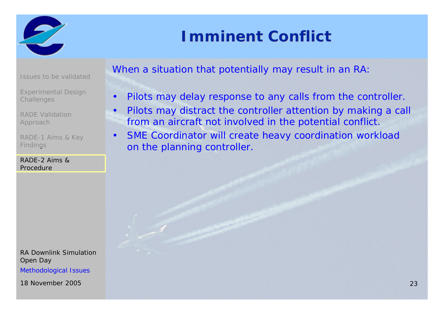

### **Imminent Conflict**

Issues to be validated

Experimental Design **Challenges** 

 $\bullet$ 

 $\bullet$ 

RADE Validation Approach

RADE-1 Aims & Key Findings

RADE-2 Aims & Procedure

RA Downlink SimulationOpen Day Methodological Issues

18 November 2005

When a situation that potentially may result in an RA:

- •Pilots may delay response to any calls from the controller.
- Pilots may distract the controller attention by making a call from an aircraft not involved in the potential conflict.
- SME Coordinator will create heavy coordination workload on the planning controller.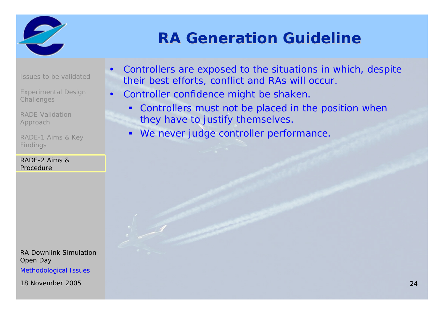

### **RA Generation Guideline RA Generation Guideline**

Issues to be validated

Experimental Design **Challenges** 

 $\bullet$ 

RADE Validation Approach

RADE-1 Aims & Key Findings

RADE-2 Aims & Procedure

RA Downlink SimulationOpen Day Methodological Issues

18 November 2005

- • Controllers are exposed to the situations in which, despite their best efforts, conflict and RAs will occur.
- Controller confidence might be shaken.
	- П Controllers must not be placed in the position when they have to justify themselves.
	- $\blacksquare$ We never judge controller performance.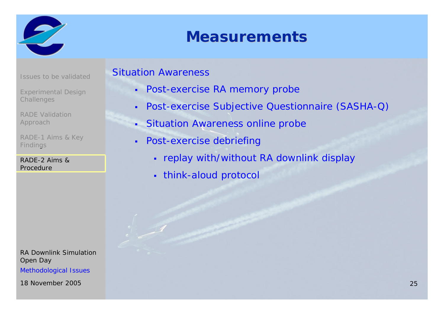

### **Measurements Measurements**

- Issues to be validated
- Experimental Design **Challenges**
- RADE Validation Approach
- RADE-1 Aims & Key Findings

RADE-2 Aims & Procedure

RA Downlink SimulationOpen Day Methodological Issues

18 November 2005

### Situation Awareness

- Post-exercise RA memory probe
- $\blacksquare$ Post-exercise Subjective Questionnaire (SASHA-Q)
- Situation Awareness online probe
- $\blacksquare$  Post-exercise debriefing
	- replay with/without RA downlink display
	- think-aloud protocol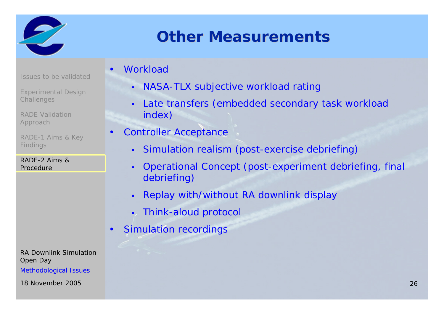

### **Other Measurements**

- Issues to be validated
- Experimental Design **Challenges**
- RADE Validation Approach
- RADE-1 Aims & Key Findings
- RADE-2 Aims & Procedure

RA Downlink SimulationOpen Day

Methodological Issues

**Workload** 

•

•

- NASA-TLX subjective workload rating
- Late transfers (embedded secondary task workload index)
- Controller Acceptance
	- П Simulation realism (post-exercise debriefing)
	- Operational Concept (post-experiment debriefing, final debriefing)
	- Replay with/without RA downlink display
	- Г Think-aloud protocol
- $\bullet$ Simulation recordings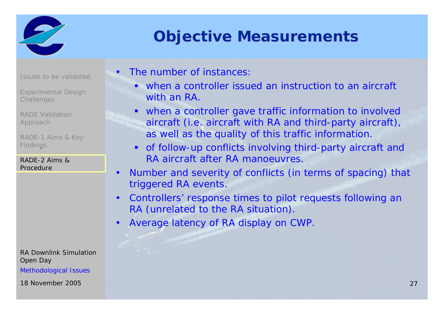

### **Objective Measurements Objective Measurements**

Issues to be validated

Experimental Design **Challenges** 

RADE Validation Approach

RADE-1 Aims & Key Findings

RADE-2 Aims & Procedure

RA Downlink SimulationOpen Day

Methodological Issues

•The number of instances:

- . when a controller issued an instruction to an aircraft with an RA.
- when a controller gave traffic information to involved aircraft (i.e. aircraft with RA and third-party aircraft), as well as the quality of this traffic information.
- $\blacksquare$  of follow-up conflicts involving third-party aircraft and RA aircraft after RA manoeuvres.
- $\bullet$  Number and severity of conflicts (in terms of spacing) that triggered RA events.
- $\bullet$  Controllers' response times to pilot requests following an RA (unrelated to the RA situation).
- $\bullet$ Average latency of RA display on CWP.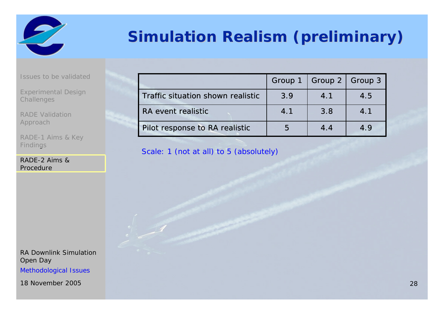

# **Simulation Realism (preliminary) Simulation Realism (preliminary)**

Issues to be validated

Experimental Design **Challenges** 

RADE Validation Approach

RADE-1 Aims & Key Findings

RADE-2 Aims & Procedure

RA Downlink SimulationOpen Day Methodological Issues

18 November 2005

|                                   |     | Group 1   Group 2   Group 3 |     |
|-----------------------------------|-----|-----------------------------|-----|
| Traffic situation shown realistic | 3.9 | 4.1                         | 4.5 |
| RA event realistic                | 4.1 | 3.8                         | 4.1 |
| Pilot response to RA realistic    | h   | 4.4                         | 4.9 |

Scale: 1 (not at all) to 5 (absolutely)